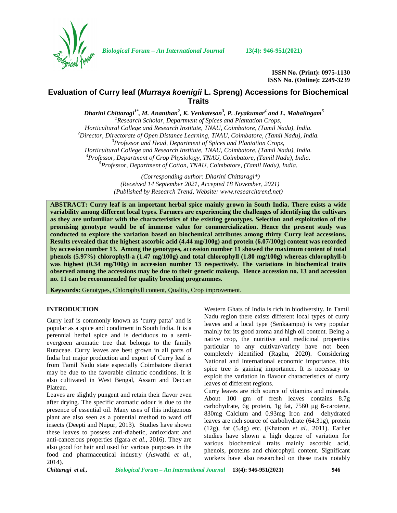

**ISSN No. (Print): 0975-1130 ISSN No. (Online): 2249-3239**

# **Evaluation of Curry leaf (***Murraya koenigii* **L. Spreng) Accessions for Biochemical Traits**

*Dharini Chittaragi1\* , M. Ananthan<sup>2</sup> , K. Venkatesan<sup>3</sup> , P. Jeyakumar<sup>4</sup> and L. Mahalingam<sup>5</sup>* <sup>1</sup><br>*Horticultural College and Research Institute, TNAU, Coimbatore, (Tamil Nadu), India.*<br>*Horticultural College and Research Institute, TNAU, Coimbatore, (Tamil Nadu), India.* <sup>2</sup>Director, Directorate of Open Distance Learning, TNAU, Coimbatore, (Tamil Nadu), India.<br><sup>3</sup>Professor and Head, Department of Spices and Plantation Crops,<br>Horticultural College and Research Institute, TNAU, Coimbatore, <sup>4</sup>Professor, Department of Crop Physiology, TNAU, Coimbatore, (Tamil Nadu), India.<br><sup>5</sup>Professor, Department of Cotton, TNAU, Coimbatore, (Tamil Nadu), India.

*(Corresponding author: Dharini Chittaragi\*) (Received 14 September 2021, Accepted 18 November, 2021) (Published by Research Trend, Website: [www.researchtrend.net\)](www.researchtrend.net)*

**ABSTRACT: Curry leaf is an important herbal spice mainly grown in South India. There exists a wide variability among different local types. Farmers are experiencing the challenges of identifying the cultivars as they are unfamiliar with the characteristics of the existing genotypes. Selection and exploitation of the promising genotype would be of immense value for commercialization. Hence the present study was conducted to explore the variation based on biochemical attributes among thirty Curry leaf accessions. Results revealed that the highest ascorbic acid (4.44 mg/100g) and protein (6.07/100g) content was recorded by accession number 13. Among the genotypes, accession number 11 showed the maximum content of total phenols (5.97%) chlorophyll-a (1.47 mg/100g) and total chlorophyll (1.80 mg/100g) whereas chlorophyll-b was highest (0.34 mg/100g) in accession number 13 respectively. The variations in biochemical traits observed among the accessions may be due to their genetic makeup. Hence accession no. 13 and accession no. 11 can be recommended for quality breeding programmes.**

**Keywords:** Genotypes, Chlorophyll content, Quality, Crop improvement.

#### **INTRODUCTION**

Curry leaf is commonly known as 'curry patta' and is popular as a spice and condiment in South India. It is a perennial herbal spice and is deciduous to a semi evergreen aromatic tree that belongs to the family Rutaceae. Curry leaves are best grown in all parts of India but major production and export of Curry leaf is from Tamil Nadu state especially Coimbatore district may be due to the favorable climatic conditions. It is also cultivated in West Bengal, Assam and Deccan Plateau.

Leaves are slightly pungent and retain their flavor even after drying. The specific aromatic odour is due to the presence of essential oil. Many uses of this indigenous plant are also seen as a potential method to ward off insects (Deepti and Nupur, 2013). Studies have shown these leaves to possess anti-diabetic, antioxidant and anti-cancerous properties (Igara *et al*., 2016). They are also good for hair and used for various purposes in the food and pharmaceutical industry (Aswathi *et al.*, 2014).

Western Ghats of India is rich in biodiversity. In Tamil Nadu region there exists different local types of curry leaves and a local type (Senkaampu) is very popular mainly for its good aroma and high oil content. Being a native crop, the nutritive and medicinal properties particular to any cultivar/variety have not been completely identified (Raghu, 2020). Considering National and International economic importance, this spice tree is gaining importance. It is necessary to exploit the variation in flavour characteristics of curry leaves of different regions.

Curry leaves are rich source of vitamins and minerals. About 100 gm of fresh leaves contains 8.7g carbohydrate, 6g protein, 1g fat, 7560 µg ß-carotene, 830mg Calcium and 0.93mg Iron and dehydrated leaves are rich source of carbohydrate (64.31g), protein (12g), fat (5.4g) etc. (Khatoon *et al*., 2011). Earlier studies have shown a high degree of variation for various biochemical traits mainly ascorbic acid, phenols, proteins and chlorophyll content. Significant workers have also researched on these traits notably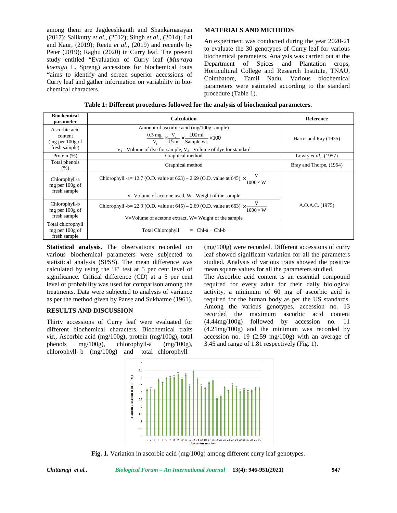## **MATERIALS AND METHODS**

| chemical characters.                                         | among them are Jagdeeshkanth and Shankarnarayan<br>(2017); Salikutty et al., (2012); Singh et al., (2014); Lal<br>and Kaur, (2019); Reetu et al., (2019) and recently by<br>Peter (2019); Raghu (2020) in Curry leaf. The present<br>study entitled "Evaluation of Curry leaf (Murraya<br>koenigii L. Spreng) accessions for biochemical traits<br>"aims to identify and screen superior accessions of<br>Curry leaf and gather information on variability in bio-<br>Table 1: Different procedures followed for the analysis of biochemical parameters. | <b>MATERIALS AND METHODS</b><br>An experiment was conducted during the year 2020-21<br>to evaluate the 30 genotypes of Curry leaf for various<br>biochemical parameters. Analysis was carried out at the<br>Department of Spices<br>Horticultural College and Research Institute, TNAU,<br>Coimbatore, Tamil Nadu. Various biochemical<br>parameters were estimated according to the standard<br>procedure (Table 1). | and Plantation<br>crops, |
|--------------------------------------------------------------|----------------------------------------------------------------------------------------------------------------------------------------------------------------------------------------------------------------------------------------------------------------------------------------------------------------------------------------------------------------------------------------------------------------------------------------------------------------------------------------------------------------------------------------------------------|-----------------------------------------------------------------------------------------------------------------------------------------------------------------------------------------------------------------------------------------------------------------------------------------------------------------------------------------------------------------------------------------------------------------------|--------------------------|
| <b>Biochemical</b><br>parameter                              | <b>Calculation</b>                                                                                                                                                                                                                                                                                                                                                                                                                                                                                                                                       |                                                                                                                                                                                                                                                                                                                                                                                                                       | Reference                |
| Ascorbic acid<br>content<br>(mg per 100g of<br>fresh sample) |                                                                                                                                                                                                                                                                                                                                                                                                                                                                                                                                                          | Amount of ascorbic acid (mg/100g sample)<br>$\frac{0.5 \text{ mg}}{V_1} \times \frac{V_2}{15 \text{ ml}} \times \frac{100 \text{ ml}}{\text{Sample wt.}} \times 100$<br>$V_1$ = Volume of dye for sample, $V_2$ = Volume of dye for standard                                                                                                                                                                          |                          |
| Protein (%)                                                  |                                                                                                                                                                                                                                                                                                                                                                                                                                                                                                                                                          | Graphical method                                                                                                                                                                                                                                                                                                                                                                                                      |                          |
| Total phenols<br>(% )                                        | Graphical method                                                                                                                                                                                                                                                                                                                                                                                                                                                                                                                                         |                                                                                                                                                                                                                                                                                                                                                                                                                       | Bray and Thorpe, (1954)  |
| Chlorophyll-a<br>mg per 100g of<br>fresh sample              | Chlorophyll -a= 12.7 (O.D. value at 663) – 2.69 (O.D. value at 645) $\times$ –<br>$\frac{1000\times W}{1000\times W}$                                                                                                                                                                                                                                                                                                                                                                                                                                    |                                                                                                                                                                                                                                                                                                                                                                                                                       |                          |
|                                                              | $V = Volume of$ acetone used, $W = Weight of the sample$                                                                                                                                                                                                                                                                                                                                                                                                                                                                                                 |                                                                                                                                                                                                                                                                                                                                                                                                                       |                          |
| Chlorophyll-b<br>mg per 100g of<br>fresh sample              | V<br>Chlorophyll -b= 22.9 (O.D. value at 645) – 2.69 (O.D. value at 663) $\times$<br>$1000 \times W$                                                                                                                                                                                                                                                                                                                                                                                                                                                     |                                                                                                                                                                                                                                                                                                                                                                                                                       | A.O.A.C. (1975)          |
| Total chlorophyll<br>mg per 100g of<br>fresh sample          | $V = Volume of$ acetone extract, $W = Weight of the sample$<br><b>Total Chlorophyll</b><br>$=$ Chl-a + Chl-b                                                                                                                                                                                                                                                                                                                                                                                                                                             |                                                                                                                                                                                                                                                                                                                                                                                                                       |                          |

**Table 1: Different procedures followed for the analysis of biochemical parameters.**

**Statistical analysis.** The observations recorded on various biochemical parameters were subjected to statistical analysis (SPSS). The mean difference was calculated by using the 'F' test at 5 per cent level of significance. Critical difference (CD) at a 5 per cent level of probability was used for comparison among the treatments. Data were subjected to analysis of variance as per the method given by Panse and Sukhatme (1961).

# **RESULTS AND DISCUSSION**

Thirty accessions of Curry leaf were evaluated for different biochemical characters. Biochemical traits *viz.,* Ascorbic acid (mg/100g), protein (mg/100g), total phenols mg/100g), chlorophyll-a (mg/100g), chlorophyll- b (mg/100g) and total chlorophyll

(mg/100g) were recorded. Different accessions of curry leaf showed significant variation for all the parameters studied. Analysis of various traits showed the positive mean square values for all the parameters studied.

The Ascorbic acid content is an essential compound required for every adult for their daily biological activity, a minimum of 60 mg of ascorbic acid is required for the human body as per the US standards. Among the various genotypes, accession no. 13 recorded the maximum ascorbic acid content (4.44mg/100g) followed by accession no. 11 (4.21mg/100g) and the minimum was recorded by accession no. 19 (2.59 mg/100g) with an average of 3.45 and range of 1.81 respectively (Fig. 1).



**Fig. 1.** Variation in ascorbic acid (mg/100g) among different curry leaf genotypes.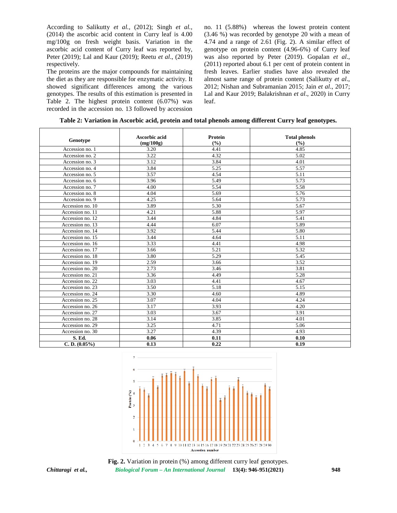According to Salikutty *et al.,* (2012); Singh *et al.,* (2014) the ascorbic acid content in Curry leaf is 4.00 mg/100g on fresh weight basis. Variation in the ascorbic acid content of Curry leaf was reported by, Peter (2019); Lal and Kaur (2019); Reetu *et al*., (2019) respectively.

The proteins are the major compounds for maintaining the diet as they are responsible for enzymatic activity. It showed significant differences among the various genotypes. The results of this estimation is presented in Table 2. The highest protein content (6.07%) was recorded in the accession no. 13 followed by accession

no. 11 (5.88%) whereas the lowest protein content (3.46 %) was recorded by genotype 20 with a mean of 4.74 and a range of 2.61 (Fig. 2). A similar effect of genotype on protein content (4.96-6%) of Curry leaf was also reported by Peter (2019). Gopalan *et al*., (2011) reported about 6.1 per cent of protein content in fresh leaves. Earlier studies have also revealed the almost same range of protein content (Salikutty *et al*., 2012; Nishan and Subramanian 2015; Jain *et al*., 2017; Lal and Kaur 2019; Balakrishnan *et al*., 2020) in Curry leaf.

| Table 2: Variation in Ascorbic acid, protein and total phenols among different Curry leaf genotypes. |  |  |
|------------------------------------------------------------------------------------------------------|--|--|
|                                                                                                      |  |  |

| Genotype         | Ascorbic acid<br>(mg/100g) | Protein<br>(%) | <b>Total phenols</b><br>(%) |
|------------------|----------------------------|----------------|-----------------------------|
| Accession no. 1  | 3.20                       | 4.41           | 4.85                        |
| Accession no. 2  | 3.22                       | 4.32           | 5.02                        |
| Accession no. 3  | 3.12                       | 3.84           | 4.01                        |
| Accession no. 4  | 3.84                       | 5.25           | 5.57                        |
| Accession no. 5  | 3.57                       | 4.54           | 5.11                        |
| Accession no. 6  | 3.96                       | 5.49           | 5.73                        |
| Accession no. 7  | 4.00                       | 5.54           | 5.58                        |
| Accession no. 8  | 4.04                       | 5.69           | 5.76                        |
| Accession no. 9  | 4.25                       | 5.64           | 5.73                        |
| Accession no. 10 | 3.89                       | 5.30           | 5.67                        |
| Accession no. 11 | 4.21                       | 5.88           | 5.97                        |
| Accession no. 12 | 3.44                       | 4.84           | 5.41                        |
| Accession no. 13 | 4.44                       | 6.07           | 5.89                        |
| Accession no. 14 | 3.92                       | 5.44           | 5.80                        |
| Accession no. 15 | 3.44                       | 4.64           | 5.11                        |
| Accession no. 16 | 3.33                       | 4.41           | 4.98                        |
| Accession no. 17 | 3.66                       | 5.21           | 5.32                        |
| Accession no. 18 | 3.80                       | 5.29           | 5.45                        |
| Accession no. 19 | 2.59                       | 3.66           | 3.52                        |
| Accession no. 20 | 2.73                       | 3.46           | 3.81                        |
| Accession no. 21 | 3.36                       | 4.49           | 5.28                        |
| Accession no. 22 | 3.03                       | 4.41           | 4.67                        |
| Accession no. 23 | 3.50                       | 5.18           | 5.15                        |
| Accession no. 24 | 3.30                       | 4.60           | 4.89                        |
| Accession no. 25 | 3.07                       | 4.04           | 4.24                        |
| Accession no. 26 | 3.17                       | 3.93           | 4.20                        |
| Accession no. 27 | 3.03                       | 3.67           | 3.91                        |
| Accession no. 28 | 3.14                       | 3.85           | 4.01                        |
| Accession no. 29 | 3.25                       | 4.71           | 5.06                        |
| Accession no. 30 | 3.27                       | 4.39           | 4.93                        |
| S. Ed.           | 0.06                       | 0.11           | 0.10                        |
| C. D. (0.05%)    | 0.13                       | 0.22           | 0.19                        |



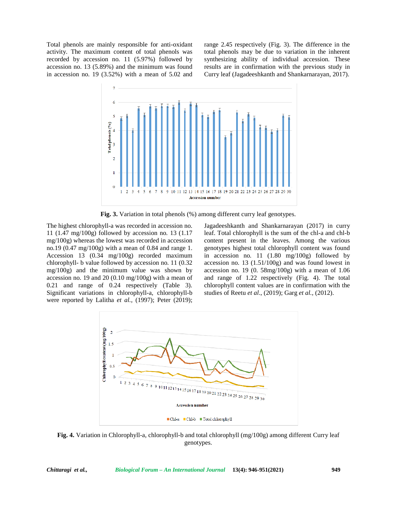Total phenols are mainly responsible for anti-oxidant activity. The maximum content of total phenols was recorded by accession no. 11 (5.97%) followed by accession no. 13 (5.89%) and the minimum was found in accession no. 19 (3.52%) with a mean of 5.02 and range 2.45 respectively (Fig. 3). The difference in the total phenols may be due to variation in the inherent synthesizing ability of individual accession. These results are in confirmation with the previous study in Curry leaf (Jagadeeshkanth and Shankarnarayan, 2017).



**Fig. 3.** Variation in total phenols (%) among different curry leaf genotypes.

The highest chlorophyll-a was recorded in accession no. 11 (1.47 mg/100g) followed by accession no. 13 (1.17 mg/100g) whereas the lowest was recorded in accession no.19 (0.47 mg/100g) with a mean of 0.84 and range 1. Accession 13 (0.34 mg/100g) recorded maximum chlorophyll- b value followed by accession no. 11 (0.32 mg/100g) and the minimum value was shown by accession no. 19 and 20 (0.10 mg/100g) with a mean of 0.21 and range of 0.24 respectively (Table 3). Significant variations in chlorophyll-a, chlorophyll-b were reported by Lalitha *et al.,* (1997); Peter (2019);

Jagadeeshkanth and Shankarnarayan (2017) in curry leaf. Total chlorophyll is the sum of the chl-a and chl-b content present in the leaves. Among the various genotypes highest total chlorophyll content was found in accession no. 11 (1.80 mg/100g) followed by accession no. 13 (1.51/100g) and was found lowest in accession no. 19 (0. 58mg/100g) with a mean of 1.06 and range of 1.22 respectively (Fig. 4). The total chlorophyll content values are in confirmation with the studies of Reetu *et al*., (2019); Garg *et al.,* (2012).



**Fig. 4.** Variation in Chlorophyll-a, chlorophyll-b and total chlorophyll (mg/100g) among different Curry leaf genotypes.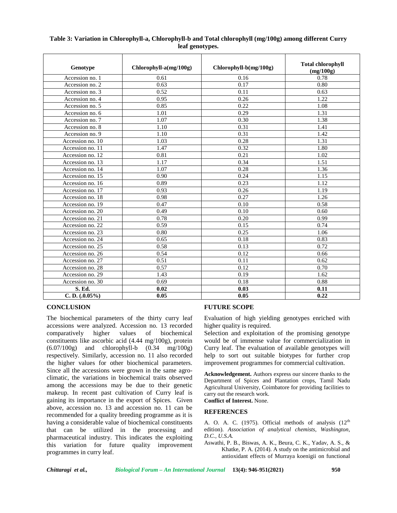| Table 3: Variation in Chlorophyll-a, Chlorophyll-b and Total chlorophyll (mg/100g) among different Curry |  |
|----------------------------------------------------------------------------------------------------------|--|
| leaf genotypes.                                                                                          |  |

| Genotype          | $Chlorophyll-a(mg/100g)$ | $Chlorophyll-b(mg/100g)$ | <b>Total chlorophyll</b><br>(mg/100g) |
|-------------------|--------------------------|--------------------------|---------------------------------------|
| Accession no. 1   | 0.61                     | 0.16                     | 0.78                                  |
| Accession no. 2   | 0.63                     | 0.17                     | 0.80                                  |
| Accession no. 3   | 0.52                     | 0.11                     | 0.63                                  |
| Accession no. 4   | 0.95                     | 0.26                     | 1.22                                  |
| Accession no. 5   | 0.85                     | 0.22                     | 1.08                                  |
| Accession no. 6   | 1.01                     | 0.29                     | 1.31                                  |
| Accession no. 7   | 1.07                     | 0.30                     | 1.38                                  |
| Accession no. 8   | 1.10                     | 0.31                     | 1.41                                  |
| Accession no. 9   | 1.10                     | 0.31                     | 1.42                                  |
| Accession no. 10  | 1.03                     | 0.28                     | 1.31                                  |
| Accession no. 11  | 1.47                     | 0.32                     | 1.80                                  |
| Accession no. 12  | 0.81                     | 0.21                     | 1.02                                  |
| Accession no. 13  | 1.17                     | 0.34                     | 1.51                                  |
| Accession no. 14  | 1.07                     | 0.28                     | 1.36                                  |
| Accession no. 15  | 0.90                     | 0.24                     | 1.15                                  |
| Accession no. 16  | 0.89                     | 0.23                     | 1.12                                  |
| Accession no. 17  | 0.93                     | 0.26                     | 1.19                                  |
| Accession no. 18  | 0.98                     | 0.27                     | 1.26                                  |
| Accession no. 19  | 0.47                     | 0.10                     | 0.58                                  |
| Accession no. 20  | 0.49                     | 0.10                     | 0.60                                  |
| Accession no. 21  | 0.78                     | 0.20                     | 0.99                                  |
| Accession no. 22  | 0.59                     | 0.15                     | 0.74                                  |
| Accession no. 23  | 0.80                     | 0.25                     | 1.06                                  |
| Accession no. 24  | 0.65                     | 0.18                     | 0.83                                  |
| Accession no. 25  | 0.58                     | 0.13                     | 0.72                                  |
| Accession no. 26  | 0.54                     | 0.12                     | 0.66                                  |
| Accession no. 27  | 0.51                     | 0.11                     | 0.62                                  |
| Accession no. 28  | 0.57                     | 0.12                     | 0.70                                  |
| Accession no. 29  | 1.43                     | 0.19                     | 1.62                                  |
| Accession no. 30  | 0.69                     | 0.18                     | 0.88                                  |
| S. Ed.            | 0.02                     | 0.03                     | 0.11                                  |
| C. D. $(.0.05\%)$ | 0.05                     | 0.05                     | 0.22                                  |

#### **CONCLUSION**

The biochemical parameters of the thirty curry leaf accessions were analyzed. Accession no. 13 recorded comparatively higher values of biochemical constituents like ascorbic acid (4.44 mg/100g), protein (6.07/100g) and chlorophyll-b (0.34 mg/100g) respectively. Similarly, accession no. 11 also recorded the higher values for other biochemical parameters. Since all the accessions were grown in the same agro climatic, the variations in biochemical traits observed among the accessions may be due to their genetic makeup. In recent past cultivation of Curry leaf is gaining its importance in the export of Spices. Given above, accession no. 13 and accession no. 11 can be recommended for a quality breeding programme as it is having a considerable value of biochemical constituents that can be utilized in the processing and pharmaceutical industry. This indicates the exploiting this variation for future quality improvement programmes in curry leaf.

## **FUTURE SCOPE**

Evaluation of high yielding genotypes enriched with higher quality is required.

Selection and exploitation of the promising genotype would be of immense value for commercialization in Curry leaf. The evaluation of available genotypes will help to sort out suitable biotypes for further crop improvement programmes for commercial cultivation.

**Acknowledgement.** Authors express our sincere thanks to the Department of Spices and Plantation crops, Tamil Nadu Agricultural University, Coimbatore for providing facilities to carry out the research work.

**Conflict of Interest.** None.

#### **REFERENCES**

A. O. A. C. (1975). Official methods of analysis  $(12<sup>th</sup>$ edition). *Association of analytical chemists, Washington, D.C., U.S.A.*

Aswathi, P. B., Biswas, A. K., Beura, C. K., Yadav, A. S., & Khatke, P. A. (2014). A study on the antimicrobial and antioxidant effects of Murraya koenigii on functional

*Chittaragi et al., Biological Forum – An International Journal* **13(4): 946-951(2021) 950**